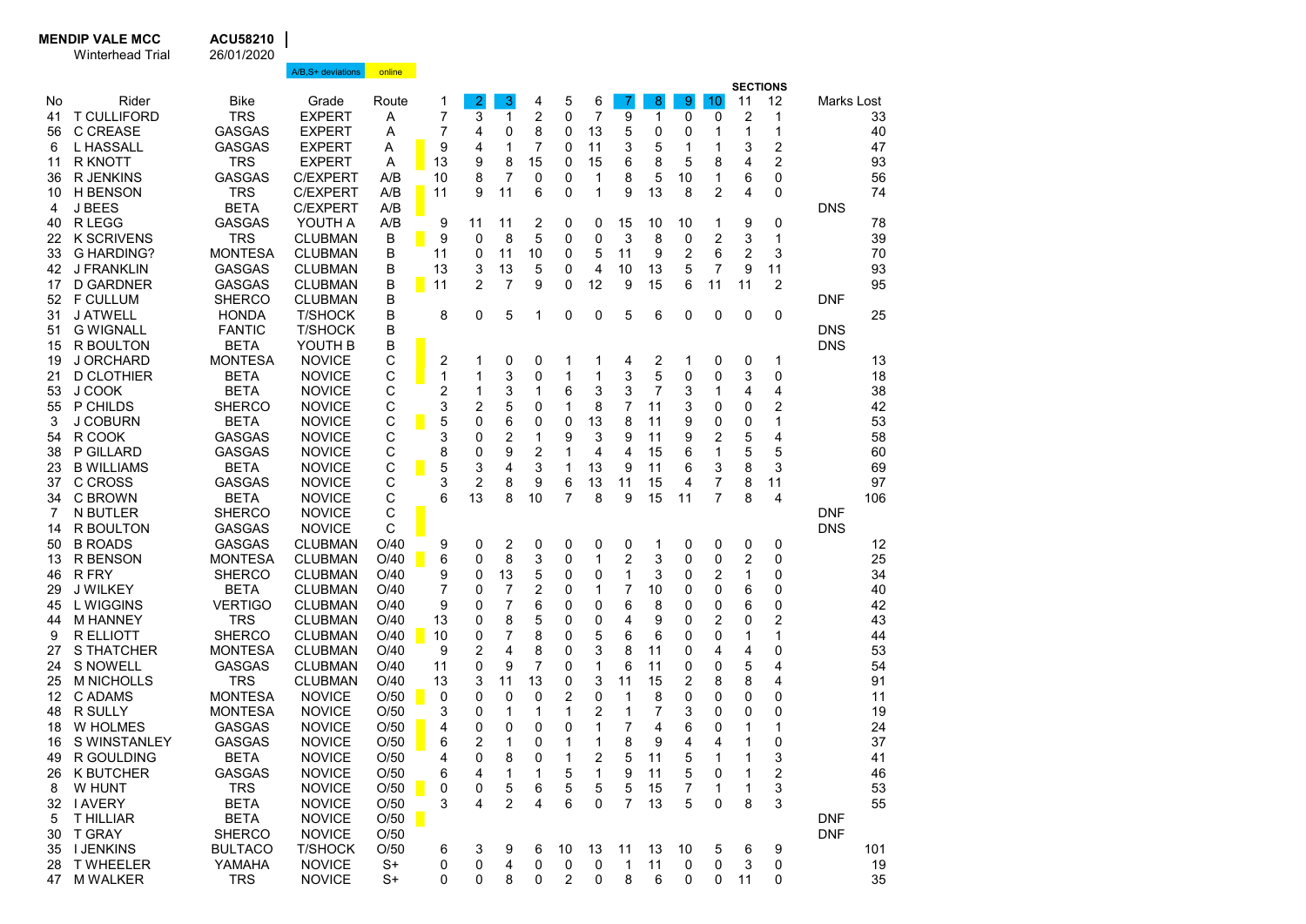| <b>SECTIONS</b><br>Rider<br>5<br>8 <sub>o</sub><br>10<br>11<br>Bike<br>Grade<br>$\overline{2}$<br>3<br>6<br>9<br>12<br>No<br>Route<br>1<br>4<br>Marks Lost<br>$\bullet$<br>7<br>3<br>2<br><b>T CULLIFORD</b><br><b>TRS</b><br><b>EXPERT</b><br>0<br>7<br>9<br>$\mathbf{1}$<br>2<br>1<br>0<br>0<br>1<br>33<br>41<br>Α<br><b>C CREASE</b><br><b>GASGAS</b><br><b>EXPERT</b><br>7<br>8<br>5<br>1<br>1<br>40<br>56<br>4<br>0<br>0<br>13<br>0<br>0<br>Α<br>1<br>7<br>2<br>L HASSALL<br><b>GASGAS</b><br>9<br>0<br>3<br>5<br>3<br>47<br>6<br><b>EXPERT</b><br>Α<br>4<br>1<br>11<br>1<br>1<br>2<br><b>R KNOTT</b><br><b>TRS</b><br>8<br>15<br>6<br>8<br>5<br>8<br>93<br><b>EXPERT</b><br>Α<br>13<br>9<br>15<br>4<br>11<br>0<br><b>GASGAS</b><br>8<br>7<br>8<br>5<br>10<br>1<br>0<br>56<br>36<br>R JENKINS<br><b>C/EXPERT</b><br>A/B<br>10<br>0<br>0<br>1<br>6<br><b>TRS</b><br>6<br>2<br>0<br>74<br><b>C/EXPERT</b><br>11<br>11<br>0<br>1<br>9<br>13<br>8<br><b>H BENSON</b><br>A/B<br>9<br>4<br>10<br>J BEES<br><b>BETA</b><br>A/B<br><b>DNS</b><br>4<br><b>C/EXPERT</b><br>R LEGG<br><b>GASGAS</b><br>YOUTH A<br>A/B<br>9<br>11<br>2<br>0<br>0<br>15<br>10<br>9<br>0<br>40<br>11<br>10<br>1<br><b>TRS</b><br><b>K SCRIVENS</b><br><b>CLUBMAN</b><br>B<br>9<br>8<br>5<br>0<br>0<br>3<br>8<br>2<br>3<br>1<br>22<br>0<br>0<br>3<br><b>G HARDING?</b><br><b>MONTESA</b><br>10<br>2<br>6<br>2<br>33<br><b>CLUBMAN</b><br>В<br>11<br>0<br>11<br>0<br>5<br>11<br>9<br>13<br>5<br>7<br>9<br>11<br>J FRANKLIN<br><b>GASGAS</b><br><b>CLUBMAN</b><br>В<br>13<br>3<br>5<br>4<br>10<br>13<br>42<br>0<br><b>D GARDNER</b><br><b>GASGAS</b><br>B<br>11<br>2<br>7<br>9<br>12<br>9<br>15<br>2<br>17<br><b>CLUBMAN</b><br>0<br>6<br>11<br>11<br><b>SHERCO</b><br>В<br>52<br><b>F CULLUM</b><br><b>CLUBMAN</b><br>DNF<br><b>J ATWELL</b><br><b>HONDA</b><br><b>T/SHOCK</b><br>В<br>8<br>5<br>0<br>5<br>6<br>0<br>0<br>0<br>31<br>0<br>1<br>0<br>0<br><b>G WIGNALL</b><br><b>FANTIC</b><br><b>T/SHOCK</b><br><b>DNS</b><br>51<br>В<br>В<br>R BOULTON<br><b>BETA</b><br><b>DNS</b><br>15<br>YOUTH B<br>C<br><b>MONTESA</b><br>2<br>13<br>19<br>J ORCHARD<br><b>NOVICE</b><br>0<br>0<br>2<br>1<br>0<br>1<br>1<br>1<br>4<br>0<br>1<br>C<br>3<br>3<br>5<br>3<br><b>D CLOTHIER</b><br><b>BETA</b><br><b>NOVICE</b><br>1<br>0<br>1<br>0<br>0<br>0<br>21<br>1<br>1<br>С<br>J COOK<br><b>BETA</b><br><b>NOVICE</b><br>2<br>3<br>3<br>3<br>7<br>3<br>4<br>38<br>53<br>1<br>1<br>6<br>1<br>4<br>С<br>3<br>5<br>7<br>2<br>42<br>55<br>P CHILDS<br><b>SHERCO</b><br><b>NOVICE</b><br>2<br>0<br>$\mathbf{1}$<br>8<br>3<br>0<br>11<br>0<br>С<br><b>J COBURN</b><br><b>BETA</b><br>5<br>0<br>8<br>53<br>3<br><b>NOVICE</b><br>0<br>6<br>0<br>13<br>11<br>9<br>0<br>0<br>1<br>С<br>3<br>$\overline{2}$<br>9<br>2<br>R COOK<br><b>GASGAS</b><br><b>NOVICE</b><br>1<br>9<br>3<br>9<br>5<br>4<br>58<br>54<br>0<br>11<br>С<br>2<br>38<br><b>P GILLARD</b><br><b>GASGAS</b><br><b>NOVICE</b><br>8<br>9<br>$\mathbf{1}$<br>4<br>4<br>15<br>1<br>5<br>5<br>60<br>0<br>6<br>C<br>3<br>3<br><b>BETA</b><br>5<br>3<br>9<br>6<br>3<br>8<br>23<br><b>B WILLIAMS</b><br><b>NOVICE</b><br>4<br>1<br>13<br>11<br>С<br>C CROSS<br><b>GASGAS</b><br><b>NOVICE</b><br>3<br>2<br>8<br>9<br>6<br>13<br>11<br>15<br>4<br>7<br>8<br>11<br>37<br>С<br>7<br>C BROWN<br><b>BETA</b><br><b>NOVICE</b><br>13<br>8<br>10<br>7<br>8<br>9<br>15<br>8<br>106<br>34<br>6<br>11<br>4<br>С<br><b>SHERCO</b><br><b>DNF</b><br>N BUTLER<br><b>NOVICE</b><br>7<br>C<br><b>GASGAS</b><br><b>DNS</b><br>R BOULTON<br><b>NOVICE</b><br>14<br><b>B ROADS</b><br><b>GASGAS</b><br>2<br>0<br><b>CLUBMAN</b><br>O/40<br>9<br>0<br>0<br>0<br>0<br>0<br>0<br>0<br>0<br>50<br>1<br>O/40<br>8<br>3<br>2<br><b>R BENSON</b><br><b>MONTESA</b><br>6<br>0<br>0<br>3<br>0<br>2<br>0<br>25<br>13<br><b>CLUBMAN</b><br>1<br>0<br>5<br><b>SHERCO</b><br>0<br>1<br>3<br>2<br>0<br>34<br>46<br>R FRY<br><b>CLUBMAN</b><br>O/40<br>9<br>0<br>13<br>0<br>0<br>1<br>2<br><b>BETA</b><br>7<br>7<br>6<br>0<br>40<br>29<br><b>J WILKEY</b><br><b>CLUBMAN</b><br>O/40<br>7<br>0<br>0<br>1<br>10<br>0<br>0<br>$\overline{7}$<br>6<br>42<br><b>VERTIGO</b><br>9<br>6<br>8<br>0<br>6<br>0<br>45<br>L WIGGINS<br><b>CLUBMAN</b><br>O/40<br>0<br>0<br>0<br>0<br>5<br>2<br>2<br><b>TRS</b><br>O/40<br>13<br>8<br>0<br>0<br>4<br>9<br>0<br>0<br>43<br><b>M HANNEY</b><br><b>CLUBMAN</b><br>0<br>44<br><b>SHERCO</b><br>7<br>8<br>5<br>6<br>1<br>44<br>9<br>R ELLIOTT<br><b>CLUBMAN</b><br>O/40<br>10<br>0<br>0<br>6<br>0<br>0<br>1<br>8<br>3<br>8<br>53<br>S THATCHER<br><b>MONTESA</b><br><b>CLUBMAN</b><br>9<br>2<br>4<br>0<br>4<br>4<br>0<br>27<br>O/40<br>11<br>0<br>$\overline{7}$<br><b>S NOWELL</b><br><b>GASGAS</b><br>9<br>6<br>5<br>54<br>24<br><b>CLUBMAN</b><br>O/40<br>11<br>0<br>0<br>1<br>11<br>0<br>0<br>4<br>8<br>91<br><b>TRS</b><br>O/40<br>13<br>0<br>3<br>2<br>8<br>4<br>25<br><b>M NICHOLLS</b><br><b>CLUBMAN</b><br>13<br>3<br>11<br>11<br>15<br>$\overline{2}$<br>C ADAMS<br><b>MONTESA</b><br><b>NOVICE</b><br>O/50<br>0<br>0<br>0<br>$\mathbf{1}$<br>8<br>0<br>0<br>0<br>0<br>11<br>12<br>0<br>0<br><b>R SULLY</b><br><b>MONTESA</b><br>7<br>19<br>48<br><b>NOVICE</b><br>O/50<br>3<br>1<br>2<br>1<br>3<br>0<br>0<br>0<br>0<br>1<br>1<br>7<br><b>GASGAS</b><br>O/50<br>0<br>0<br>1<br>24<br>18<br>W HOLMES<br><b>NOVICE</b><br>4<br>0<br>0<br>1<br>4<br>6<br>0<br>1<br>8<br>0<br>S WINSTANLEY<br><b>GASGAS</b><br><b>NOVICE</b><br>O/50<br>6<br>2<br>1<br>0<br>1<br>9<br>4<br>4<br>37<br>16<br>1<br>1<br>5<br>O/50<br>0<br>8<br>0<br>2<br>5<br>1<br>3<br>41<br>49<br>R GOULDING<br><b>BETA</b><br><b>NOVICE</b><br>4<br>1<br>11<br>1<br>GASGAS<br><b>NOVICE</b><br>O/50<br>5<br>9<br>2<br>46<br>K BUTCHER<br>6<br>4<br>1<br>1<br>1<br>11<br>5<br>0<br>1<br>26<br><b>TRS</b><br>5<br>6<br>5<br>5<br>5<br>53<br>W HUNT<br><b>NOVICE</b><br>O/50<br>0<br>15<br>7<br>3<br>8<br>0<br>1<br>1<br><b>BETA</b><br>$\overline{2}$<br>4<br>7<br>13<br>5<br>8<br>55<br>32 I AVERY<br><b>NOVICE</b><br>O/50<br>3<br>4<br>6<br>0<br>0<br>3<br>O/50<br><b>BETA</b><br><b>NOVICE</b><br><b>DNF</b><br><b>THILLIAR</b><br>5<br><b>DNF</b><br>T GRAY<br><b>SHERCO</b><br><b>NOVICE</b><br>O/50<br>30<br>11<br>35 I JENKINS<br><b>BULTACO</b><br><b>T/SHOCK</b><br>O/50<br>10<br>13<br>13<br>10<br>5<br>6<br>101<br>6<br>3<br>9<br>9<br>6<br>11<br>28 T WHEELER<br>YAMAHA<br><b>NOVICE</b><br>$S+$<br>4<br>0<br>$\mathbf 0$<br>$\mathbf 0$<br>$\mathbf{1}$<br>0<br>3<br>19<br>0<br>0<br>0<br>0<br>47 M WALKER |  |            | A/B, S+ deviations | online |   |   |   |   |   |   |         |   |   |   |    |   |    |
|-------------------------------------------------------------------------------------------------------------------------------------------------------------------------------------------------------------------------------------------------------------------------------------------------------------------------------------------------------------------------------------------------------------------------------------------------------------------------------------------------------------------------------------------------------------------------------------------------------------------------------------------------------------------------------------------------------------------------------------------------------------------------------------------------------------------------------------------------------------------------------------------------------------------------------------------------------------------------------------------------------------------------------------------------------------------------------------------------------------------------------------------------------------------------------------------------------------------------------------------------------------------------------------------------------------------------------------------------------------------------------------------------------------------------------------------------------------------------------------------------------------------------------------------------------------------------------------------------------------------------------------------------------------------------------------------------------------------------------------------------------------------------------------------------------------------------------------------------------------------------------------------------------------------------------------------------------------------------------------------------------------------------------------------------------------------------------------------------------------------------------------------------------------------------------------------------------------------------------------------------------------------------------------------------------------------------------------------------------------------------------------------------------------------------------------------------------------------------------------------------------------------------------------------------------------------------------------------------------------------------------------------------------------------------------------------------------------------------------------------------------------------------------------------------------------------------------------------------------------------------------------------------------------------------------------------------------------------------------------------------------------------------------------------------------------------------------------------------------------------------------------------------------------------------------------------------------------------------------------------------------------------------------------------------------------------------------------------------------------------------------------------------------------------------------------------------------------------------------------------------------------------------------------------------------------------------------------------------------------------------------------------------------------------------------------------------------------------------------------------------------------------------------------------------------------------------------------------------------------------------------------------------------------------------------------------------------------------------------------------------------------------------------------------------------------------------------------------------------------------------------------------------------------------------------------------------------------------------------------------------------------------------------------------------------------------------------------------------------------------------------------------------------------------------------------------------------------------------------------------------------------------------------------------------------------------------------------------------------------------------------------------------------------------------------------------------------------------------------------------------------------------------------------------------------------------------------------------------------------------------------------------------------------------------------------------------------------------------------------------------------------------------------------------------------------------------------------------------------------------------------------------------------------------------------------------------------------------------------------------------------------------------------------------------------------------------------------------------------------------------------------------------------------------------------------------------------------------------------------------------------------------------------------------------------------------------------------------------------------------------------------------------------------------------------------------------------------------------------------------------------------------------------------------------------------------------------------------------------------------------------------------------------------------------------------------------------------------------------------------------------------------------------------------------------------------------------------------------------------------------------------------------------------------------------------------------------------------------------------------------------------------------------------------------------------------------------------------------------------------------------------------------------------------------------------------------------------------------------------------------------|--|------------|--------------------|--------|---|---|---|---|---|---|---------|---|---|---|----|---|----|
|                                                                                                                                                                                                                                                                                                                                                                                                                                                                                                                                                                                                                                                                                                                                                                                                                                                                                                                                                                                                                                                                                                                                                                                                                                                                                                                                                                                                                                                                                                                                                                                                                                                                                                                                                                                                                                                                                                                                                                                                                                                                                                                                                                                                                                                                                                                                                                                                                                                                                                                                                                                                                                                                                                                                                                                                                                                                                                                                                                                                                                                                                                                                                                                                                                                                                                                                                                                                                                                                                                                                                                                                                                                                                                                                                                                                                                                                                                                                                                                                                                                                                                                                                                                                                                                                                                                                                                                                                                                                                                                                                                                                                                                                                                                                                                                                                                                                                                                                                                                                                                                                                                                                                                                                                                                                                                                                                                                                                                                                                                                                                                                                                                                                                                                                                                                                                                                                                                                                                                                                                                                                                                                                                                                                                                                                                                                                                                                                                                                                                                       |  |            |                    |        |   |   |   |   |   |   |         |   |   |   |    |   |    |
|                                                                                                                                                                                                                                                                                                                                                                                                                                                                                                                                                                                                                                                                                                                                                                                                                                                                                                                                                                                                                                                                                                                                                                                                                                                                                                                                                                                                                                                                                                                                                                                                                                                                                                                                                                                                                                                                                                                                                                                                                                                                                                                                                                                                                                                                                                                                                                                                                                                                                                                                                                                                                                                                                                                                                                                                                                                                                                                                                                                                                                                                                                                                                                                                                                                                                                                                                                                                                                                                                                                                                                                                                                                                                                                                                                                                                                                                                                                                                                                                                                                                                                                                                                                                                                                                                                                                                                                                                                                                                                                                                                                                                                                                                                                                                                                                                                                                                                                                                                                                                                                                                                                                                                                                                                                                                                                                                                                                                                                                                                                                                                                                                                                                                                                                                                                                                                                                                                                                                                                                                                                                                                                                                                                                                                                                                                                                                                                                                                                                                                       |  |            |                    |        |   |   |   |   |   |   |         |   |   |   |    |   |    |
|                                                                                                                                                                                                                                                                                                                                                                                                                                                                                                                                                                                                                                                                                                                                                                                                                                                                                                                                                                                                                                                                                                                                                                                                                                                                                                                                                                                                                                                                                                                                                                                                                                                                                                                                                                                                                                                                                                                                                                                                                                                                                                                                                                                                                                                                                                                                                                                                                                                                                                                                                                                                                                                                                                                                                                                                                                                                                                                                                                                                                                                                                                                                                                                                                                                                                                                                                                                                                                                                                                                                                                                                                                                                                                                                                                                                                                                                                                                                                                                                                                                                                                                                                                                                                                                                                                                                                                                                                                                                                                                                                                                                                                                                                                                                                                                                                                                                                                                                                                                                                                                                                                                                                                                                                                                                                                                                                                                                                                                                                                                                                                                                                                                                                                                                                                                                                                                                                                                                                                                                                                                                                                                                                                                                                                                                                                                                                                                                                                                                                                       |  |            |                    |        |   |   |   |   |   |   |         |   |   |   |    |   |    |
|                                                                                                                                                                                                                                                                                                                                                                                                                                                                                                                                                                                                                                                                                                                                                                                                                                                                                                                                                                                                                                                                                                                                                                                                                                                                                                                                                                                                                                                                                                                                                                                                                                                                                                                                                                                                                                                                                                                                                                                                                                                                                                                                                                                                                                                                                                                                                                                                                                                                                                                                                                                                                                                                                                                                                                                                                                                                                                                                                                                                                                                                                                                                                                                                                                                                                                                                                                                                                                                                                                                                                                                                                                                                                                                                                                                                                                                                                                                                                                                                                                                                                                                                                                                                                                                                                                                                                                                                                                                                                                                                                                                                                                                                                                                                                                                                                                                                                                                                                                                                                                                                                                                                                                                                                                                                                                                                                                                                                                                                                                                                                                                                                                                                                                                                                                                                                                                                                                                                                                                                                                                                                                                                                                                                                                                                                                                                                                                                                                                                                                       |  |            |                    |        |   |   |   |   |   |   |         |   |   |   |    |   |    |
|                                                                                                                                                                                                                                                                                                                                                                                                                                                                                                                                                                                                                                                                                                                                                                                                                                                                                                                                                                                                                                                                                                                                                                                                                                                                                                                                                                                                                                                                                                                                                                                                                                                                                                                                                                                                                                                                                                                                                                                                                                                                                                                                                                                                                                                                                                                                                                                                                                                                                                                                                                                                                                                                                                                                                                                                                                                                                                                                                                                                                                                                                                                                                                                                                                                                                                                                                                                                                                                                                                                                                                                                                                                                                                                                                                                                                                                                                                                                                                                                                                                                                                                                                                                                                                                                                                                                                                                                                                                                                                                                                                                                                                                                                                                                                                                                                                                                                                                                                                                                                                                                                                                                                                                                                                                                                                                                                                                                                                                                                                                                                                                                                                                                                                                                                                                                                                                                                                                                                                                                                                                                                                                                                                                                                                                                                                                                                                                                                                                                                                       |  |            |                    |        |   |   |   |   |   |   |         |   |   |   |    |   |    |
|                                                                                                                                                                                                                                                                                                                                                                                                                                                                                                                                                                                                                                                                                                                                                                                                                                                                                                                                                                                                                                                                                                                                                                                                                                                                                                                                                                                                                                                                                                                                                                                                                                                                                                                                                                                                                                                                                                                                                                                                                                                                                                                                                                                                                                                                                                                                                                                                                                                                                                                                                                                                                                                                                                                                                                                                                                                                                                                                                                                                                                                                                                                                                                                                                                                                                                                                                                                                                                                                                                                                                                                                                                                                                                                                                                                                                                                                                                                                                                                                                                                                                                                                                                                                                                                                                                                                                                                                                                                                                                                                                                                                                                                                                                                                                                                                                                                                                                                                                                                                                                                                                                                                                                                                                                                                                                                                                                                                                                                                                                                                                                                                                                                                                                                                                                                                                                                                                                                                                                                                                                                                                                                                                                                                                                                                                                                                                                                                                                                                                                       |  |            |                    |        |   |   |   |   |   |   |         |   |   |   |    |   |    |
|                                                                                                                                                                                                                                                                                                                                                                                                                                                                                                                                                                                                                                                                                                                                                                                                                                                                                                                                                                                                                                                                                                                                                                                                                                                                                                                                                                                                                                                                                                                                                                                                                                                                                                                                                                                                                                                                                                                                                                                                                                                                                                                                                                                                                                                                                                                                                                                                                                                                                                                                                                                                                                                                                                                                                                                                                                                                                                                                                                                                                                                                                                                                                                                                                                                                                                                                                                                                                                                                                                                                                                                                                                                                                                                                                                                                                                                                                                                                                                                                                                                                                                                                                                                                                                                                                                                                                                                                                                                                                                                                                                                                                                                                                                                                                                                                                                                                                                                                                                                                                                                                                                                                                                                                                                                                                                                                                                                                                                                                                                                                                                                                                                                                                                                                                                                                                                                                                                                                                                                                                                                                                                                                                                                                                                                                                                                                                                                                                                                                                                       |  |            |                    |        |   |   |   |   |   |   |         |   |   |   |    |   |    |
|                                                                                                                                                                                                                                                                                                                                                                                                                                                                                                                                                                                                                                                                                                                                                                                                                                                                                                                                                                                                                                                                                                                                                                                                                                                                                                                                                                                                                                                                                                                                                                                                                                                                                                                                                                                                                                                                                                                                                                                                                                                                                                                                                                                                                                                                                                                                                                                                                                                                                                                                                                                                                                                                                                                                                                                                                                                                                                                                                                                                                                                                                                                                                                                                                                                                                                                                                                                                                                                                                                                                                                                                                                                                                                                                                                                                                                                                                                                                                                                                                                                                                                                                                                                                                                                                                                                                                                                                                                                                                                                                                                                                                                                                                                                                                                                                                                                                                                                                                                                                                                                                                                                                                                                                                                                                                                                                                                                                                                                                                                                                                                                                                                                                                                                                                                                                                                                                                                                                                                                                                                                                                                                                                                                                                                                                                                                                                                                                                                                                                                       |  |            |                    |        |   |   |   |   |   |   |         |   |   |   |    |   |    |
|                                                                                                                                                                                                                                                                                                                                                                                                                                                                                                                                                                                                                                                                                                                                                                                                                                                                                                                                                                                                                                                                                                                                                                                                                                                                                                                                                                                                                                                                                                                                                                                                                                                                                                                                                                                                                                                                                                                                                                                                                                                                                                                                                                                                                                                                                                                                                                                                                                                                                                                                                                                                                                                                                                                                                                                                                                                                                                                                                                                                                                                                                                                                                                                                                                                                                                                                                                                                                                                                                                                                                                                                                                                                                                                                                                                                                                                                                                                                                                                                                                                                                                                                                                                                                                                                                                                                                                                                                                                                                                                                                                                                                                                                                                                                                                                                                                                                                                                                                                                                                                                                                                                                                                                                                                                                                                                                                                                                                                                                                                                                                                                                                                                                                                                                                                                                                                                                                                                                                                                                                                                                                                                                                                                                                                                                                                                                                                                                                                                                                                       |  |            |                    |        |   |   |   |   |   |   |         |   |   |   |    |   |    |
|                                                                                                                                                                                                                                                                                                                                                                                                                                                                                                                                                                                                                                                                                                                                                                                                                                                                                                                                                                                                                                                                                                                                                                                                                                                                                                                                                                                                                                                                                                                                                                                                                                                                                                                                                                                                                                                                                                                                                                                                                                                                                                                                                                                                                                                                                                                                                                                                                                                                                                                                                                                                                                                                                                                                                                                                                                                                                                                                                                                                                                                                                                                                                                                                                                                                                                                                                                                                                                                                                                                                                                                                                                                                                                                                                                                                                                                                                                                                                                                                                                                                                                                                                                                                                                                                                                                                                                                                                                                                                                                                                                                                                                                                                                                                                                                                                                                                                                                                                                                                                                                                                                                                                                                                                                                                                                                                                                                                                                                                                                                                                                                                                                                                                                                                                                                                                                                                                                                                                                                                                                                                                                                                                                                                                                                                                                                                                                                                                                                                                                       |  |            |                    |        |   |   |   |   |   |   |         |   |   |   |    |   | 78 |
|                                                                                                                                                                                                                                                                                                                                                                                                                                                                                                                                                                                                                                                                                                                                                                                                                                                                                                                                                                                                                                                                                                                                                                                                                                                                                                                                                                                                                                                                                                                                                                                                                                                                                                                                                                                                                                                                                                                                                                                                                                                                                                                                                                                                                                                                                                                                                                                                                                                                                                                                                                                                                                                                                                                                                                                                                                                                                                                                                                                                                                                                                                                                                                                                                                                                                                                                                                                                                                                                                                                                                                                                                                                                                                                                                                                                                                                                                                                                                                                                                                                                                                                                                                                                                                                                                                                                                                                                                                                                                                                                                                                                                                                                                                                                                                                                                                                                                                                                                                                                                                                                                                                                                                                                                                                                                                                                                                                                                                                                                                                                                                                                                                                                                                                                                                                                                                                                                                                                                                                                                                                                                                                                                                                                                                                                                                                                                                                                                                                                                                       |  |            |                    |        |   |   |   |   |   |   |         |   |   |   |    |   | 39 |
|                                                                                                                                                                                                                                                                                                                                                                                                                                                                                                                                                                                                                                                                                                                                                                                                                                                                                                                                                                                                                                                                                                                                                                                                                                                                                                                                                                                                                                                                                                                                                                                                                                                                                                                                                                                                                                                                                                                                                                                                                                                                                                                                                                                                                                                                                                                                                                                                                                                                                                                                                                                                                                                                                                                                                                                                                                                                                                                                                                                                                                                                                                                                                                                                                                                                                                                                                                                                                                                                                                                                                                                                                                                                                                                                                                                                                                                                                                                                                                                                                                                                                                                                                                                                                                                                                                                                                                                                                                                                                                                                                                                                                                                                                                                                                                                                                                                                                                                                                                                                                                                                                                                                                                                                                                                                                                                                                                                                                                                                                                                                                                                                                                                                                                                                                                                                                                                                                                                                                                                                                                                                                                                                                                                                                                                                                                                                                                                                                                                                                                       |  |            |                    |        |   |   |   |   |   |   |         |   |   |   |    |   | 70 |
|                                                                                                                                                                                                                                                                                                                                                                                                                                                                                                                                                                                                                                                                                                                                                                                                                                                                                                                                                                                                                                                                                                                                                                                                                                                                                                                                                                                                                                                                                                                                                                                                                                                                                                                                                                                                                                                                                                                                                                                                                                                                                                                                                                                                                                                                                                                                                                                                                                                                                                                                                                                                                                                                                                                                                                                                                                                                                                                                                                                                                                                                                                                                                                                                                                                                                                                                                                                                                                                                                                                                                                                                                                                                                                                                                                                                                                                                                                                                                                                                                                                                                                                                                                                                                                                                                                                                                                                                                                                                                                                                                                                                                                                                                                                                                                                                                                                                                                                                                                                                                                                                                                                                                                                                                                                                                                                                                                                                                                                                                                                                                                                                                                                                                                                                                                                                                                                                                                                                                                                                                                                                                                                                                                                                                                                                                                                                                                                                                                                                                                       |  |            |                    |        |   |   |   |   |   |   |         |   |   |   |    |   | 93 |
|                                                                                                                                                                                                                                                                                                                                                                                                                                                                                                                                                                                                                                                                                                                                                                                                                                                                                                                                                                                                                                                                                                                                                                                                                                                                                                                                                                                                                                                                                                                                                                                                                                                                                                                                                                                                                                                                                                                                                                                                                                                                                                                                                                                                                                                                                                                                                                                                                                                                                                                                                                                                                                                                                                                                                                                                                                                                                                                                                                                                                                                                                                                                                                                                                                                                                                                                                                                                                                                                                                                                                                                                                                                                                                                                                                                                                                                                                                                                                                                                                                                                                                                                                                                                                                                                                                                                                                                                                                                                                                                                                                                                                                                                                                                                                                                                                                                                                                                                                                                                                                                                                                                                                                                                                                                                                                                                                                                                                                                                                                                                                                                                                                                                                                                                                                                                                                                                                                                                                                                                                                                                                                                                                                                                                                                                                                                                                                                                                                                                                                       |  |            |                    |        |   |   |   |   |   |   |         |   |   |   |    |   | 95 |
|                                                                                                                                                                                                                                                                                                                                                                                                                                                                                                                                                                                                                                                                                                                                                                                                                                                                                                                                                                                                                                                                                                                                                                                                                                                                                                                                                                                                                                                                                                                                                                                                                                                                                                                                                                                                                                                                                                                                                                                                                                                                                                                                                                                                                                                                                                                                                                                                                                                                                                                                                                                                                                                                                                                                                                                                                                                                                                                                                                                                                                                                                                                                                                                                                                                                                                                                                                                                                                                                                                                                                                                                                                                                                                                                                                                                                                                                                                                                                                                                                                                                                                                                                                                                                                                                                                                                                                                                                                                                                                                                                                                                                                                                                                                                                                                                                                                                                                                                                                                                                                                                                                                                                                                                                                                                                                                                                                                                                                                                                                                                                                                                                                                                                                                                                                                                                                                                                                                                                                                                                                                                                                                                                                                                                                                                                                                                                                                                                                                                                                       |  |            |                    |        |   |   |   |   |   |   |         |   |   |   |    |   |    |
|                                                                                                                                                                                                                                                                                                                                                                                                                                                                                                                                                                                                                                                                                                                                                                                                                                                                                                                                                                                                                                                                                                                                                                                                                                                                                                                                                                                                                                                                                                                                                                                                                                                                                                                                                                                                                                                                                                                                                                                                                                                                                                                                                                                                                                                                                                                                                                                                                                                                                                                                                                                                                                                                                                                                                                                                                                                                                                                                                                                                                                                                                                                                                                                                                                                                                                                                                                                                                                                                                                                                                                                                                                                                                                                                                                                                                                                                                                                                                                                                                                                                                                                                                                                                                                                                                                                                                                                                                                                                                                                                                                                                                                                                                                                                                                                                                                                                                                                                                                                                                                                                                                                                                                                                                                                                                                                                                                                                                                                                                                                                                                                                                                                                                                                                                                                                                                                                                                                                                                                                                                                                                                                                                                                                                                                                                                                                                                                                                                                                                                       |  |            |                    |        |   |   |   |   |   |   |         |   |   |   |    |   | 25 |
|                                                                                                                                                                                                                                                                                                                                                                                                                                                                                                                                                                                                                                                                                                                                                                                                                                                                                                                                                                                                                                                                                                                                                                                                                                                                                                                                                                                                                                                                                                                                                                                                                                                                                                                                                                                                                                                                                                                                                                                                                                                                                                                                                                                                                                                                                                                                                                                                                                                                                                                                                                                                                                                                                                                                                                                                                                                                                                                                                                                                                                                                                                                                                                                                                                                                                                                                                                                                                                                                                                                                                                                                                                                                                                                                                                                                                                                                                                                                                                                                                                                                                                                                                                                                                                                                                                                                                                                                                                                                                                                                                                                                                                                                                                                                                                                                                                                                                                                                                                                                                                                                                                                                                                                                                                                                                                                                                                                                                                                                                                                                                                                                                                                                                                                                                                                                                                                                                                                                                                                                                                                                                                                                                                                                                                                                                                                                                                                                                                                                                                       |  |            |                    |        |   |   |   |   |   |   |         |   |   |   |    |   |    |
|                                                                                                                                                                                                                                                                                                                                                                                                                                                                                                                                                                                                                                                                                                                                                                                                                                                                                                                                                                                                                                                                                                                                                                                                                                                                                                                                                                                                                                                                                                                                                                                                                                                                                                                                                                                                                                                                                                                                                                                                                                                                                                                                                                                                                                                                                                                                                                                                                                                                                                                                                                                                                                                                                                                                                                                                                                                                                                                                                                                                                                                                                                                                                                                                                                                                                                                                                                                                                                                                                                                                                                                                                                                                                                                                                                                                                                                                                                                                                                                                                                                                                                                                                                                                                                                                                                                                                                                                                                                                                                                                                                                                                                                                                                                                                                                                                                                                                                                                                                                                                                                                                                                                                                                                                                                                                                                                                                                                                                                                                                                                                                                                                                                                                                                                                                                                                                                                                                                                                                                                                                                                                                                                                                                                                                                                                                                                                                                                                                                                                                       |  |            |                    |        |   |   |   |   |   |   |         |   |   |   |    |   |    |
|                                                                                                                                                                                                                                                                                                                                                                                                                                                                                                                                                                                                                                                                                                                                                                                                                                                                                                                                                                                                                                                                                                                                                                                                                                                                                                                                                                                                                                                                                                                                                                                                                                                                                                                                                                                                                                                                                                                                                                                                                                                                                                                                                                                                                                                                                                                                                                                                                                                                                                                                                                                                                                                                                                                                                                                                                                                                                                                                                                                                                                                                                                                                                                                                                                                                                                                                                                                                                                                                                                                                                                                                                                                                                                                                                                                                                                                                                                                                                                                                                                                                                                                                                                                                                                                                                                                                                                                                                                                                                                                                                                                                                                                                                                                                                                                                                                                                                                                                                                                                                                                                                                                                                                                                                                                                                                                                                                                                                                                                                                                                                                                                                                                                                                                                                                                                                                                                                                                                                                                                                                                                                                                                                                                                                                                                                                                                                                                                                                                                                                       |  |            |                    |        |   |   |   |   |   |   |         |   |   |   |    |   |    |
|                                                                                                                                                                                                                                                                                                                                                                                                                                                                                                                                                                                                                                                                                                                                                                                                                                                                                                                                                                                                                                                                                                                                                                                                                                                                                                                                                                                                                                                                                                                                                                                                                                                                                                                                                                                                                                                                                                                                                                                                                                                                                                                                                                                                                                                                                                                                                                                                                                                                                                                                                                                                                                                                                                                                                                                                                                                                                                                                                                                                                                                                                                                                                                                                                                                                                                                                                                                                                                                                                                                                                                                                                                                                                                                                                                                                                                                                                                                                                                                                                                                                                                                                                                                                                                                                                                                                                                                                                                                                                                                                                                                                                                                                                                                                                                                                                                                                                                                                                                                                                                                                                                                                                                                                                                                                                                                                                                                                                                                                                                                                                                                                                                                                                                                                                                                                                                                                                                                                                                                                                                                                                                                                                                                                                                                                                                                                                                                                                                                                                                       |  |            |                    |        |   |   |   |   |   |   |         |   |   |   |    |   | 18 |
|                                                                                                                                                                                                                                                                                                                                                                                                                                                                                                                                                                                                                                                                                                                                                                                                                                                                                                                                                                                                                                                                                                                                                                                                                                                                                                                                                                                                                                                                                                                                                                                                                                                                                                                                                                                                                                                                                                                                                                                                                                                                                                                                                                                                                                                                                                                                                                                                                                                                                                                                                                                                                                                                                                                                                                                                                                                                                                                                                                                                                                                                                                                                                                                                                                                                                                                                                                                                                                                                                                                                                                                                                                                                                                                                                                                                                                                                                                                                                                                                                                                                                                                                                                                                                                                                                                                                                                                                                                                                                                                                                                                                                                                                                                                                                                                                                                                                                                                                                                                                                                                                                                                                                                                                                                                                                                                                                                                                                                                                                                                                                                                                                                                                                                                                                                                                                                                                                                                                                                                                                                                                                                                                                                                                                                                                                                                                                                                                                                                                                                       |  |            |                    |        |   |   |   |   |   |   |         |   |   |   |    |   |    |
|                                                                                                                                                                                                                                                                                                                                                                                                                                                                                                                                                                                                                                                                                                                                                                                                                                                                                                                                                                                                                                                                                                                                                                                                                                                                                                                                                                                                                                                                                                                                                                                                                                                                                                                                                                                                                                                                                                                                                                                                                                                                                                                                                                                                                                                                                                                                                                                                                                                                                                                                                                                                                                                                                                                                                                                                                                                                                                                                                                                                                                                                                                                                                                                                                                                                                                                                                                                                                                                                                                                                                                                                                                                                                                                                                                                                                                                                                                                                                                                                                                                                                                                                                                                                                                                                                                                                                                                                                                                                                                                                                                                                                                                                                                                                                                                                                                                                                                                                                                                                                                                                                                                                                                                                                                                                                                                                                                                                                                                                                                                                                                                                                                                                                                                                                                                                                                                                                                                                                                                                                                                                                                                                                                                                                                                                                                                                                                                                                                                                                                       |  |            |                    |        |   |   |   |   |   |   |         |   |   |   |    |   |    |
|                                                                                                                                                                                                                                                                                                                                                                                                                                                                                                                                                                                                                                                                                                                                                                                                                                                                                                                                                                                                                                                                                                                                                                                                                                                                                                                                                                                                                                                                                                                                                                                                                                                                                                                                                                                                                                                                                                                                                                                                                                                                                                                                                                                                                                                                                                                                                                                                                                                                                                                                                                                                                                                                                                                                                                                                                                                                                                                                                                                                                                                                                                                                                                                                                                                                                                                                                                                                                                                                                                                                                                                                                                                                                                                                                                                                                                                                                                                                                                                                                                                                                                                                                                                                                                                                                                                                                                                                                                                                                                                                                                                                                                                                                                                                                                                                                                                                                                                                                                                                                                                                                                                                                                                                                                                                                                                                                                                                                                                                                                                                                                                                                                                                                                                                                                                                                                                                                                                                                                                                                                                                                                                                                                                                                                                                                                                                                                                                                                                                                                       |  |            |                    |        |   |   |   |   |   |   |         |   |   |   |    |   |    |
|                                                                                                                                                                                                                                                                                                                                                                                                                                                                                                                                                                                                                                                                                                                                                                                                                                                                                                                                                                                                                                                                                                                                                                                                                                                                                                                                                                                                                                                                                                                                                                                                                                                                                                                                                                                                                                                                                                                                                                                                                                                                                                                                                                                                                                                                                                                                                                                                                                                                                                                                                                                                                                                                                                                                                                                                                                                                                                                                                                                                                                                                                                                                                                                                                                                                                                                                                                                                                                                                                                                                                                                                                                                                                                                                                                                                                                                                                                                                                                                                                                                                                                                                                                                                                                                                                                                                                                                                                                                                                                                                                                                                                                                                                                                                                                                                                                                                                                                                                                                                                                                                                                                                                                                                                                                                                                                                                                                                                                                                                                                                                                                                                                                                                                                                                                                                                                                                                                                                                                                                                                                                                                                                                                                                                                                                                                                                                                                                                                                                                                       |  |            |                    |        |   |   |   |   |   |   |         |   |   |   |    |   |    |
|                                                                                                                                                                                                                                                                                                                                                                                                                                                                                                                                                                                                                                                                                                                                                                                                                                                                                                                                                                                                                                                                                                                                                                                                                                                                                                                                                                                                                                                                                                                                                                                                                                                                                                                                                                                                                                                                                                                                                                                                                                                                                                                                                                                                                                                                                                                                                                                                                                                                                                                                                                                                                                                                                                                                                                                                                                                                                                                                                                                                                                                                                                                                                                                                                                                                                                                                                                                                                                                                                                                                                                                                                                                                                                                                                                                                                                                                                                                                                                                                                                                                                                                                                                                                                                                                                                                                                                                                                                                                                                                                                                                                                                                                                                                                                                                                                                                                                                                                                                                                                                                                                                                                                                                                                                                                                                                                                                                                                                                                                                                                                                                                                                                                                                                                                                                                                                                                                                                                                                                                                                                                                                                                                                                                                                                                                                                                                                                                                                                                                                       |  |            |                    |        |   |   |   |   |   |   |         |   |   |   |    |   |    |
|                                                                                                                                                                                                                                                                                                                                                                                                                                                                                                                                                                                                                                                                                                                                                                                                                                                                                                                                                                                                                                                                                                                                                                                                                                                                                                                                                                                                                                                                                                                                                                                                                                                                                                                                                                                                                                                                                                                                                                                                                                                                                                                                                                                                                                                                                                                                                                                                                                                                                                                                                                                                                                                                                                                                                                                                                                                                                                                                                                                                                                                                                                                                                                                                                                                                                                                                                                                                                                                                                                                                                                                                                                                                                                                                                                                                                                                                                                                                                                                                                                                                                                                                                                                                                                                                                                                                                                                                                                                                                                                                                                                                                                                                                                                                                                                                                                                                                                                                                                                                                                                                                                                                                                                                                                                                                                                                                                                                                                                                                                                                                                                                                                                                                                                                                                                                                                                                                                                                                                                                                                                                                                                                                                                                                                                                                                                                                                                                                                                                                                       |  |            |                    |        |   |   |   |   |   |   |         |   |   |   |    |   | 69 |
|                                                                                                                                                                                                                                                                                                                                                                                                                                                                                                                                                                                                                                                                                                                                                                                                                                                                                                                                                                                                                                                                                                                                                                                                                                                                                                                                                                                                                                                                                                                                                                                                                                                                                                                                                                                                                                                                                                                                                                                                                                                                                                                                                                                                                                                                                                                                                                                                                                                                                                                                                                                                                                                                                                                                                                                                                                                                                                                                                                                                                                                                                                                                                                                                                                                                                                                                                                                                                                                                                                                                                                                                                                                                                                                                                                                                                                                                                                                                                                                                                                                                                                                                                                                                                                                                                                                                                                                                                                                                                                                                                                                                                                                                                                                                                                                                                                                                                                                                                                                                                                                                                                                                                                                                                                                                                                                                                                                                                                                                                                                                                                                                                                                                                                                                                                                                                                                                                                                                                                                                                                                                                                                                                                                                                                                                                                                                                                                                                                                                                                       |  |            |                    |        |   |   |   |   |   |   |         |   |   |   |    |   | 97 |
|                                                                                                                                                                                                                                                                                                                                                                                                                                                                                                                                                                                                                                                                                                                                                                                                                                                                                                                                                                                                                                                                                                                                                                                                                                                                                                                                                                                                                                                                                                                                                                                                                                                                                                                                                                                                                                                                                                                                                                                                                                                                                                                                                                                                                                                                                                                                                                                                                                                                                                                                                                                                                                                                                                                                                                                                                                                                                                                                                                                                                                                                                                                                                                                                                                                                                                                                                                                                                                                                                                                                                                                                                                                                                                                                                                                                                                                                                                                                                                                                                                                                                                                                                                                                                                                                                                                                                                                                                                                                                                                                                                                                                                                                                                                                                                                                                                                                                                                                                                                                                                                                                                                                                                                                                                                                                                                                                                                                                                                                                                                                                                                                                                                                                                                                                                                                                                                                                                                                                                                                                                                                                                                                                                                                                                                                                                                                                                                                                                                                                                       |  |            |                    |        |   |   |   |   |   |   |         |   |   |   |    |   |    |
|                                                                                                                                                                                                                                                                                                                                                                                                                                                                                                                                                                                                                                                                                                                                                                                                                                                                                                                                                                                                                                                                                                                                                                                                                                                                                                                                                                                                                                                                                                                                                                                                                                                                                                                                                                                                                                                                                                                                                                                                                                                                                                                                                                                                                                                                                                                                                                                                                                                                                                                                                                                                                                                                                                                                                                                                                                                                                                                                                                                                                                                                                                                                                                                                                                                                                                                                                                                                                                                                                                                                                                                                                                                                                                                                                                                                                                                                                                                                                                                                                                                                                                                                                                                                                                                                                                                                                                                                                                                                                                                                                                                                                                                                                                                                                                                                                                                                                                                                                                                                                                                                                                                                                                                                                                                                                                                                                                                                                                                                                                                                                                                                                                                                                                                                                                                                                                                                                                                                                                                                                                                                                                                                                                                                                                                                                                                                                                                                                                                                                                       |  |            |                    |        |   |   |   |   |   |   |         |   |   |   |    |   |    |
|                                                                                                                                                                                                                                                                                                                                                                                                                                                                                                                                                                                                                                                                                                                                                                                                                                                                                                                                                                                                                                                                                                                                                                                                                                                                                                                                                                                                                                                                                                                                                                                                                                                                                                                                                                                                                                                                                                                                                                                                                                                                                                                                                                                                                                                                                                                                                                                                                                                                                                                                                                                                                                                                                                                                                                                                                                                                                                                                                                                                                                                                                                                                                                                                                                                                                                                                                                                                                                                                                                                                                                                                                                                                                                                                                                                                                                                                                                                                                                                                                                                                                                                                                                                                                                                                                                                                                                                                                                                                                                                                                                                                                                                                                                                                                                                                                                                                                                                                                                                                                                                                                                                                                                                                                                                                                                                                                                                                                                                                                                                                                                                                                                                                                                                                                                                                                                                                                                                                                                                                                                                                                                                                                                                                                                                                                                                                                                                                                                                                                                       |  |            |                    |        |   |   |   |   |   |   |         |   |   |   |    |   |    |
|                                                                                                                                                                                                                                                                                                                                                                                                                                                                                                                                                                                                                                                                                                                                                                                                                                                                                                                                                                                                                                                                                                                                                                                                                                                                                                                                                                                                                                                                                                                                                                                                                                                                                                                                                                                                                                                                                                                                                                                                                                                                                                                                                                                                                                                                                                                                                                                                                                                                                                                                                                                                                                                                                                                                                                                                                                                                                                                                                                                                                                                                                                                                                                                                                                                                                                                                                                                                                                                                                                                                                                                                                                                                                                                                                                                                                                                                                                                                                                                                                                                                                                                                                                                                                                                                                                                                                                                                                                                                                                                                                                                                                                                                                                                                                                                                                                                                                                                                                                                                                                                                                                                                                                                                                                                                                                                                                                                                                                                                                                                                                                                                                                                                                                                                                                                                                                                                                                                                                                                                                                                                                                                                                                                                                                                                                                                                                                                                                                                                                                       |  |            |                    |        |   |   |   |   |   |   |         |   |   |   |    |   | 12 |
|                                                                                                                                                                                                                                                                                                                                                                                                                                                                                                                                                                                                                                                                                                                                                                                                                                                                                                                                                                                                                                                                                                                                                                                                                                                                                                                                                                                                                                                                                                                                                                                                                                                                                                                                                                                                                                                                                                                                                                                                                                                                                                                                                                                                                                                                                                                                                                                                                                                                                                                                                                                                                                                                                                                                                                                                                                                                                                                                                                                                                                                                                                                                                                                                                                                                                                                                                                                                                                                                                                                                                                                                                                                                                                                                                                                                                                                                                                                                                                                                                                                                                                                                                                                                                                                                                                                                                                                                                                                                                                                                                                                                                                                                                                                                                                                                                                                                                                                                                                                                                                                                                                                                                                                                                                                                                                                                                                                                                                                                                                                                                                                                                                                                                                                                                                                                                                                                                                                                                                                                                                                                                                                                                                                                                                                                                                                                                                                                                                                                                                       |  |            |                    |        |   |   |   |   |   |   |         |   |   |   |    |   |    |
|                                                                                                                                                                                                                                                                                                                                                                                                                                                                                                                                                                                                                                                                                                                                                                                                                                                                                                                                                                                                                                                                                                                                                                                                                                                                                                                                                                                                                                                                                                                                                                                                                                                                                                                                                                                                                                                                                                                                                                                                                                                                                                                                                                                                                                                                                                                                                                                                                                                                                                                                                                                                                                                                                                                                                                                                                                                                                                                                                                                                                                                                                                                                                                                                                                                                                                                                                                                                                                                                                                                                                                                                                                                                                                                                                                                                                                                                                                                                                                                                                                                                                                                                                                                                                                                                                                                                                                                                                                                                                                                                                                                                                                                                                                                                                                                                                                                                                                                                                                                                                                                                                                                                                                                                                                                                                                                                                                                                                                                                                                                                                                                                                                                                                                                                                                                                                                                                                                                                                                                                                                                                                                                                                                                                                                                                                                                                                                                                                                                                                                       |  |            |                    |        |   |   |   |   |   |   |         |   |   |   |    |   |    |
|                                                                                                                                                                                                                                                                                                                                                                                                                                                                                                                                                                                                                                                                                                                                                                                                                                                                                                                                                                                                                                                                                                                                                                                                                                                                                                                                                                                                                                                                                                                                                                                                                                                                                                                                                                                                                                                                                                                                                                                                                                                                                                                                                                                                                                                                                                                                                                                                                                                                                                                                                                                                                                                                                                                                                                                                                                                                                                                                                                                                                                                                                                                                                                                                                                                                                                                                                                                                                                                                                                                                                                                                                                                                                                                                                                                                                                                                                                                                                                                                                                                                                                                                                                                                                                                                                                                                                                                                                                                                                                                                                                                                                                                                                                                                                                                                                                                                                                                                                                                                                                                                                                                                                                                                                                                                                                                                                                                                                                                                                                                                                                                                                                                                                                                                                                                                                                                                                                                                                                                                                                                                                                                                                                                                                                                                                                                                                                                                                                                                                                       |  |            |                    |        |   |   |   |   |   |   |         |   |   |   |    |   |    |
|                                                                                                                                                                                                                                                                                                                                                                                                                                                                                                                                                                                                                                                                                                                                                                                                                                                                                                                                                                                                                                                                                                                                                                                                                                                                                                                                                                                                                                                                                                                                                                                                                                                                                                                                                                                                                                                                                                                                                                                                                                                                                                                                                                                                                                                                                                                                                                                                                                                                                                                                                                                                                                                                                                                                                                                                                                                                                                                                                                                                                                                                                                                                                                                                                                                                                                                                                                                                                                                                                                                                                                                                                                                                                                                                                                                                                                                                                                                                                                                                                                                                                                                                                                                                                                                                                                                                                                                                                                                                                                                                                                                                                                                                                                                                                                                                                                                                                                                                                                                                                                                                                                                                                                                                                                                                                                                                                                                                                                                                                                                                                                                                                                                                                                                                                                                                                                                                                                                                                                                                                                                                                                                                                                                                                                                                                                                                                                                                                                                                                                       |  |            |                    |        |   |   |   |   |   |   |         |   |   |   |    |   |    |
|                                                                                                                                                                                                                                                                                                                                                                                                                                                                                                                                                                                                                                                                                                                                                                                                                                                                                                                                                                                                                                                                                                                                                                                                                                                                                                                                                                                                                                                                                                                                                                                                                                                                                                                                                                                                                                                                                                                                                                                                                                                                                                                                                                                                                                                                                                                                                                                                                                                                                                                                                                                                                                                                                                                                                                                                                                                                                                                                                                                                                                                                                                                                                                                                                                                                                                                                                                                                                                                                                                                                                                                                                                                                                                                                                                                                                                                                                                                                                                                                                                                                                                                                                                                                                                                                                                                                                                                                                                                                                                                                                                                                                                                                                                                                                                                                                                                                                                                                                                                                                                                                                                                                                                                                                                                                                                                                                                                                                                                                                                                                                                                                                                                                                                                                                                                                                                                                                                                                                                                                                                                                                                                                                                                                                                                                                                                                                                                                                                                                                                       |  |            |                    |        |   |   |   |   |   |   |         |   |   |   |    |   |    |
|                                                                                                                                                                                                                                                                                                                                                                                                                                                                                                                                                                                                                                                                                                                                                                                                                                                                                                                                                                                                                                                                                                                                                                                                                                                                                                                                                                                                                                                                                                                                                                                                                                                                                                                                                                                                                                                                                                                                                                                                                                                                                                                                                                                                                                                                                                                                                                                                                                                                                                                                                                                                                                                                                                                                                                                                                                                                                                                                                                                                                                                                                                                                                                                                                                                                                                                                                                                                                                                                                                                                                                                                                                                                                                                                                                                                                                                                                                                                                                                                                                                                                                                                                                                                                                                                                                                                                                                                                                                                                                                                                                                                                                                                                                                                                                                                                                                                                                                                                                                                                                                                                                                                                                                                                                                                                                                                                                                                                                                                                                                                                                                                                                                                                                                                                                                                                                                                                                                                                                                                                                                                                                                                                                                                                                                                                                                                                                                                                                                                                                       |  |            |                    |        |   |   |   |   |   |   |         |   |   |   |    |   |    |
|                                                                                                                                                                                                                                                                                                                                                                                                                                                                                                                                                                                                                                                                                                                                                                                                                                                                                                                                                                                                                                                                                                                                                                                                                                                                                                                                                                                                                                                                                                                                                                                                                                                                                                                                                                                                                                                                                                                                                                                                                                                                                                                                                                                                                                                                                                                                                                                                                                                                                                                                                                                                                                                                                                                                                                                                                                                                                                                                                                                                                                                                                                                                                                                                                                                                                                                                                                                                                                                                                                                                                                                                                                                                                                                                                                                                                                                                                                                                                                                                                                                                                                                                                                                                                                                                                                                                                                                                                                                                                                                                                                                                                                                                                                                                                                                                                                                                                                                                                                                                                                                                                                                                                                                                                                                                                                                                                                                                                                                                                                                                                                                                                                                                                                                                                                                                                                                                                                                                                                                                                                                                                                                                                                                                                                                                                                                                                                                                                                                                                                       |  |            |                    |        |   |   |   |   |   |   |         |   |   |   |    |   |    |
|                                                                                                                                                                                                                                                                                                                                                                                                                                                                                                                                                                                                                                                                                                                                                                                                                                                                                                                                                                                                                                                                                                                                                                                                                                                                                                                                                                                                                                                                                                                                                                                                                                                                                                                                                                                                                                                                                                                                                                                                                                                                                                                                                                                                                                                                                                                                                                                                                                                                                                                                                                                                                                                                                                                                                                                                                                                                                                                                                                                                                                                                                                                                                                                                                                                                                                                                                                                                                                                                                                                                                                                                                                                                                                                                                                                                                                                                                                                                                                                                                                                                                                                                                                                                                                                                                                                                                                                                                                                                                                                                                                                                                                                                                                                                                                                                                                                                                                                                                                                                                                                                                                                                                                                                                                                                                                                                                                                                                                                                                                                                                                                                                                                                                                                                                                                                                                                                                                                                                                                                                                                                                                                                                                                                                                                                                                                                                                                                                                                                                                       |  |            |                    |        |   |   |   |   |   |   |         |   |   |   |    |   |    |
|                                                                                                                                                                                                                                                                                                                                                                                                                                                                                                                                                                                                                                                                                                                                                                                                                                                                                                                                                                                                                                                                                                                                                                                                                                                                                                                                                                                                                                                                                                                                                                                                                                                                                                                                                                                                                                                                                                                                                                                                                                                                                                                                                                                                                                                                                                                                                                                                                                                                                                                                                                                                                                                                                                                                                                                                                                                                                                                                                                                                                                                                                                                                                                                                                                                                                                                                                                                                                                                                                                                                                                                                                                                                                                                                                                                                                                                                                                                                                                                                                                                                                                                                                                                                                                                                                                                                                                                                                                                                                                                                                                                                                                                                                                                                                                                                                                                                                                                                                                                                                                                                                                                                                                                                                                                                                                                                                                                                                                                                                                                                                                                                                                                                                                                                                                                                                                                                                                                                                                                                                                                                                                                                                                                                                                                                                                                                                                                                                                                                                                       |  |            |                    |        |   |   |   |   |   |   |         |   |   |   |    |   |    |
|                                                                                                                                                                                                                                                                                                                                                                                                                                                                                                                                                                                                                                                                                                                                                                                                                                                                                                                                                                                                                                                                                                                                                                                                                                                                                                                                                                                                                                                                                                                                                                                                                                                                                                                                                                                                                                                                                                                                                                                                                                                                                                                                                                                                                                                                                                                                                                                                                                                                                                                                                                                                                                                                                                                                                                                                                                                                                                                                                                                                                                                                                                                                                                                                                                                                                                                                                                                                                                                                                                                                                                                                                                                                                                                                                                                                                                                                                                                                                                                                                                                                                                                                                                                                                                                                                                                                                                                                                                                                                                                                                                                                                                                                                                                                                                                                                                                                                                                                                                                                                                                                                                                                                                                                                                                                                                                                                                                                                                                                                                                                                                                                                                                                                                                                                                                                                                                                                                                                                                                                                                                                                                                                                                                                                                                                                                                                                                                                                                                                                                       |  |            |                    |        |   |   |   |   |   |   |         |   |   |   |    |   |    |
|                                                                                                                                                                                                                                                                                                                                                                                                                                                                                                                                                                                                                                                                                                                                                                                                                                                                                                                                                                                                                                                                                                                                                                                                                                                                                                                                                                                                                                                                                                                                                                                                                                                                                                                                                                                                                                                                                                                                                                                                                                                                                                                                                                                                                                                                                                                                                                                                                                                                                                                                                                                                                                                                                                                                                                                                                                                                                                                                                                                                                                                                                                                                                                                                                                                                                                                                                                                                                                                                                                                                                                                                                                                                                                                                                                                                                                                                                                                                                                                                                                                                                                                                                                                                                                                                                                                                                                                                                                                                                                                                                                                                                                                                                                                                                                                                                                                                                                                                                                                                                                                                                                                                                                                                                                                                                                                                                                                                                                                                                                                                                                                                                                                                                                                                                                                                                                                                                                                                                                                                                                                                                                                                                                                                                                                                                                                                                                                                                                                                                                       |  |            |                    |        |   |   |   |   |   |   |         |   |   |   |    |   |    |
|                                                                                                                                                                                                                                                                                                                                                                                                                                                                                                                                                                                                                                                                                                                                                                                                                                                                                                                                                                                                                                                                                                                                                                                                                                                                                                                                                                                                                                                                                                                                                                                                                                                                                                                                                                                                                                                                                                                                                                                                                                                                                                                                                                                                                                                                                                                                                                                                                                                                                                                                                                                                                                                                                                                                                                                                                                                                                                                                                                                                                                                                                                                                                                                                                                                                                                                                                                                                                                                                                                                                                                                                                                                                                                                                                                                                                                                                                                                                                                                                                                                                                                                                                                                                                                                                                                                                                                                                                                                                                                                                                                                                                                                                                                                                                                                                                                                                                                                                                                                                                                                                                                                                                                                                                                                                                                                                                                                                                                                                                                                                                                                                                                                                                                                                                                                                                                                                                                                                                                                                                                                                                                                                                                                                                                                                                                                                                                                                                                                                                                       |  |            |                    |        |   |   |   |   |   |   |         |   |   |   |    |   |    |
|                                                                                                                                                                                                                                                                                                                                                                                                                                                                                                                                                                                                                                                                                                                                                                                                                                                                                                                                                                                                                                                                                                                                                                                                                                                                                                                                                                                                                                                                                                                                                                                                                                                                                                                                                                                                                                                                                                                                                                                                                                                                                                                                                                                                                                                                                                                                                                                                                                                                                                                                                                                                                                                                                                                                                                                                                                                                                                                                                                                                                                                                                                                                                                                                                                                                                                                                                                                                                                                                                                                                                                                                                                                                                                                                                                                                                                                                                                                                                                                                                                                                                                                                                                                                                                                                                                                                                                                                                                                                                                                                                                                                                                                                                                                                                                                                                                                                                                                                                                                                                                                                                                                                                                                                                                                                                                                                                                                                                                                                                                                                                                                                                                                                                                                                                                                                                                                                                                                                                                                                                                                                                                                                                                                                                                                                                                                                                                                                                                                                                                       |  |            |                    |        |   |   |   |   |   |   |         |   |   |   |    |   |    |
|                                                                                                                                                                                                                                                                                                                                                                                                                                                                                                                                                                                                                                                                                                                                                                                                                                                                                                                                                                                                                                                                                                                                                                                                                                                                                                                                                                                                                                                                                                                                                                                                                                                                                                                                                                                                                                                                                                                                                                                                                                                                                                                                                                                                                                                                                                                                                                                                                                                                                                                                                                                                                                                                                                                                                                                                                                                                                                                                                                                                                                                                                                                                                                                                                                                                                                                                                                                                                                                                                                                                                                                                                                                                                                                                                                                                                                                                                                                                                                                                                                                                                                                                                                                                                                                                                                                                                                                                                                                                                                                                                                                                                                                                                                                                                                                                                                                                                                                                                                                                                                                                                                                                                                                                                                                                                                                                                                                                                                                                                                                                                                                                                                                                                                                                                                                                                                                                                                                                                                                                                                                                                                                                                                                                                                                                                                                                                                                                                                                                                                       |  |            |                    |        |   |   |   |   |   |   |         |   |   |   |    |   |    |
|                                                                                                                                                                                                                                                                                                                                                                                                                                                                                                                                                                                                                                                                                                                                                                                                                                                                                                                                                                                                                                                                                                                                                                                                                                                                                                                                                                                                                                                                                                                                                                                                                                                                                                                                                                                                                                                                                                                                                                                                                                                                                                                                                                                                                                                                                                                                                                                                                                                                                                                                                                                                                                                                                                                                                                                                                                                                                                                                                                                                                                                                                                                                                                                                                                                                                                                                                                                                                                                                                                                                                                                                                                                                                                                                                                                                                                                                                                                                                                                                                                                                                                                                                                                                                                                                                                                                                                                                                                                                                                                                                                                                                                                                                                                                                                                                                                                                                                                                                                                                                                                                                                                                                                                                                                                                                                                                                                                                                                                                                                                                                                                                                                                                                                                                                                                                                                                                                                                                                                                                                                                                                                                                                                                                                                                                                                                                                                                                                                                                                                       |  |            |                    |        |   |   |   |   |   |   |         |   |   |   |    |   |    |
|                                                                                                                                                                                                                                                                                                                                                                                                                                                                                                                                                                                                                                                                                                                                                                                                                                                                                                                                                                                                                                                                                                                                                                                                                                                                                                                                                                                                                                                                                                                                                                                                                                                                                                                                                                                                                                                                                                                                                                                                                                                                                                                                                                                                                                                                                                                                                                                                                                                                                                                                                                                                                                                                                                                                                                                                                                                                                                                                                                                                                                                                                                                                                                                                                                                                                                                                                                                                                                                                                                                                                                                                                                                                                                                                                                                                                                                                                                                                                                                                                                                                                                                                                                                                                                                                                                                                                                                                                                                                                                                                                                                                                                                                                                                                                                                                                                                                                                                                                                                                                                                                                                                                                                                                                                                                                                                                                                                                                                                                                                                                                                                                                                                                                                                                                                                                                                                                                                                                                                                                                                                                                                                                                                                                                                                                                                                                                                                                                                                                                                       |  |            |                    |        |   |   |   |   |   |   |         |   |   |   |    |   |    |
|                                                                                                                                                                                                                                                                                                                                                                                                                                                                                                                                                                                                                                                                                                                                                                                                                                                                                                                                                                                                                                                                                                                                                                                                                                                                                                                                                                                                                                                                                                                                                                                                                                                                                                                                                                                                                                                                                                                                                                                                                                                                                                                                                                                                                                                                                                                                                                                                                                                                                                                                                                                                                                                                                                                                                                                                                                                                                                                                                                                                                                                                                                                                                                                                                                                                                                                                                                                                                                                                                                                                                                                                                                                                                                                                                                                                                                                                                                                                                                                                                                                                                                                                                                                                                                                                                                                                                                                                                                                                                                                                                                                                                                                                                                                                                                                                                                                                                                                                                                                                                                                                                                                                                                                                                                                                                                                                                                                                                                                                                                                                                                                                                                                                                                                                                                                                                                                                                                                                                                                                                                                                                                                                                                                                                                                                                                                                                                                                                                                                                                       |  |            |                    |        |   |   |   |   |   |   |         |   |   |   |    |   |    |
|                                                                                                                                                                                                                                                                                                                                                                                                                                                                                                                                                                                                                                                                                                                                                                                                                                                                                                                                                                                                                                                                                                                                                                                                                                                                                                                                                                                                                                                                                                                                                                                                                                                                                                                                                                                                                                                                                                                                                                                                                                                                                                                                                                                                                                                                                                                                                                                                                                                                                                                                                                                                                                                                                                                                                                                                                                                                                                                                                                                                                                                                                                                                                                                                                                                                                                                                                                                                                                                                                                                                                                                                                                                                                                                                                                                                                                                                                                                                                                                                                                                                                                                                                                                                                                                                                                                                                                                                                                                                                                                                                                                                                                                                                                                                                                                                                                                                                                                                                                                                                                                                                                                                                                                                                                                                                                                                                                                                                                                                                                                                                                                                                                                                                                                                                                                                                                                                                                                                                                                                                                                                                                                                                                                                                                                                                                                                                                                                                                                                                                       |  |            |                    |        |   |   |   |   |   |   |         |   |   |   |    |   |    |
|                                                                                                                                                                                                                                                                                                                                                                                                                                                                                                                                                                                                                                                                                                                                                                                                                                                                                                                                                                                                                                                                                                                                                                                                                                                                                                                                                                                                                                                                                                                                                                                                                                                                                                                                                                                                                                                                                                                                                                                                                                                                                                                                                                                                                                                                                                                                                                                                                                                                                                                                                                                                                                                                                                                                                                                                                                                                                                                                                                                                                                                                                                                                                                                                                                                                                                                                                                                                                                                                                                                                                                                                                                                                                                                                                                                                                                                                                                                                                                                                                                                                                                                                                                                                                                                                                                                                                                                                                                                                                                                                                                                                                                                                                                                                                                                                                                                                                                                                                                                                                                                                                                                                                                                                                                                                                                                                                                                                                                                                                                                                                                                                                                                                                                                                                                                                                                                                                                                                                                                                                                                                                                                                                                                                                                                                                                                                                                                                                                                                                                       |  |            |                    |        |   |   |   |   |   |   |         |   |   |   |    |   |    |
|                                                                                                                                                                                                                                                                                                                                                                                                                                                                                                                                                                                                                                                                                                                                                                                                                                                                                                                                                                                                                                                                                                                                                                                                                                                                                                                                                                                                                                                                                                                                                                                                                                                                                                                                                                                                                                                                                                                                                                                                                                                                                                                                                                                                                                                                                                                                                                                                                                                                                                                                                                                                                                                                                                                                                                                                                                                                                                                                                                                                                                                                                                                                                                                                                                                                                                                                                                                                                                                                                                                                                                                                                                                                                                                                                                                                                                                                                                                                                                                                                                                                                                                                                                                                                                                                                                                                                                                                                                                                                                                                                                                                                                                                                                                                                                                                                                                                                                                                                                                                                                                                                                                                                                                                                                                                                                                                                                                                                                                                                                                                                                                                                                                                                                                                                                                                                                                                                                                                                                                                                                                                                                                                                                                                                                                                                                                                                                                                                                                                                                       |  |            |                    |        |   |   |   |   |   |   |         |   |   |   |    |   |    |
|                                                                                                                                                                                                                                                                                                                                                                                                                                                                                                                                                                                                                                                                                                                                                                                                                                                                                                                                                                                                                                                                                                                                                                                                                                                                                                                                                                                                                                                                                                                                                                                                                                                                                                                                                                                                                                                                                                                                                                                                                                                                                                                                                                                                                                                                                                                                                                                                                                                                                                                                                                                                                                                                                                                                                                                                                                                                                                                                                                                                                                                                                                                                                                                                                                                                                                                                                                                                                                                                                                                                                                                                                                                                                                                                                                                                                                                                                                                                                                                                                                                                                                                                                                                                                                                                                                                                                                                                                                                                                                                                                                                                                                                                                                                                                                                                                                                                                                                                                                                                                                                                                                                                                                                                                                                                                                                                                                                                                                                                                                                                                                                                                                                                                                                                                                                                                                                                                                                                                                                                                                                                                                                                                                                                                                                                                                                                                                                                                                                                                                       |  |            |                    |        |   |   |   |   |   |   |         |   |   |   |    |   |    |
|                                                                                                                                                                                                                                                                                                                                                                                                                                                                                                                                                                                                                                                                                                                                                                                                                                                                                                                                                                                                                                                                                                                                                                                                                                                                                                                                                                                                                                                                                                                                                                                                                                                                                                                                                                                                                                                                                                                                                                                                                                                                                                                                                                                                                                                                                                                                                                                                                                                                                                                                                                                                                                                                                                                                                                                                                                                                                                                                                                                                                                                                                                                                                                                                                                                                                                                                                                                                                                                                                                                                                                                                                                                                                                                                                                                                                                                                                                                                                                                                                                                                                                                                                                                                                                                                                                                                                                                                                                                                                                                                                                                                                                                                                                                                                                                                                                                                                                                                                                                                                                                                                                                                                                                                                                                                                                                                                                                                                                                                                                                                                                                                                                                                                                                                                                                                                                                                                                                                                                                                                                                                                                                                                                                                                                                                                                                                                                                                                                                                                                       |  | <b>TRS</b> | <b>NOVICE</b>      | $S+$   | 0 | 0 | 8 | 0 | 2 | 0 | $\bf 8$ | 6 | 0 | 0 | 11 | 0 | 35 |

MENDIP VALE MCC ACU58210<br>Winterhead Trial 26/01/2020

Winterhead Trial